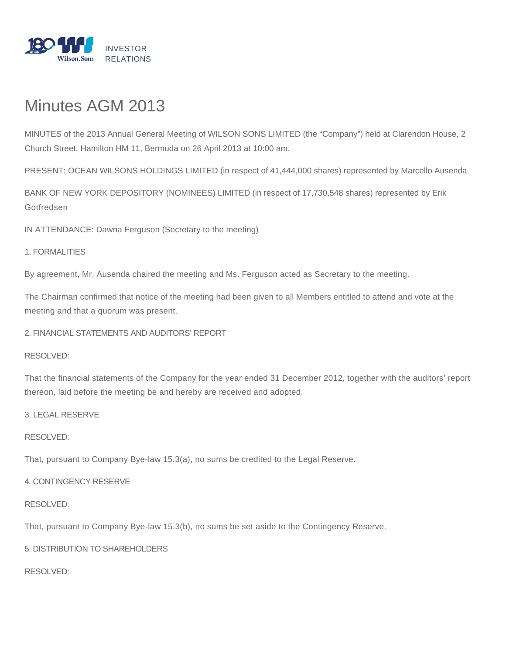

# Minutes AGM 2013

MINUTES of the 2013 Annual General Meeting of WILSON SONS LIMITED (the "Company") held at Clarendon House, 2 Church Street, Hamilton HM 11, Bermuda on 26 April 2013 at 10:00 am.

PRESENT: OCEAN WILSONS HOLDINGS LIMITED (in respect of 41,444,000 shares) represented by Marcello Ausenda

BANK OF NEW YORK DEPOSITORY (NOMINEES) LIMITED (in respect of 17,730,548 shares) represented by Erik **Gotfredsen** 

IN ATTENDANCE: Dawna Ferguson (Secretary to the meeting)

# 1. FORMALITIES

By agreement, Mr. Ausenda chaired the meeting and Ms. Ferguson acted as Secretary to the meeting.

The Chairman confirmed that notice of the meeting had been given to all Members entitled to attend and vote at the meeting and that a quorum was present.

2. FINANCIAL STATEMENTS AND AUDITORS' REPORT

## RESOLVED:

That the financial statements of the Company for the year ended 31 December 2012, together with the auditors' report thereon, laid before the meeting be and hereby are received and adopted.

3. LEGAL RESERVE

# RESOLVED:

That, pursuant to Company Bye-law 15.3(a), no sums be credited to the Legal Reserve.

## 4. CONTINGENCY RESERVE

## RESOLVED:

That, pursuant to Company Bye-law 15.3(b), no sums be set aside to the Contingency Reserve.

# 5. DISTRIBUTION TO SHAREHOLDERS

RESOLVED: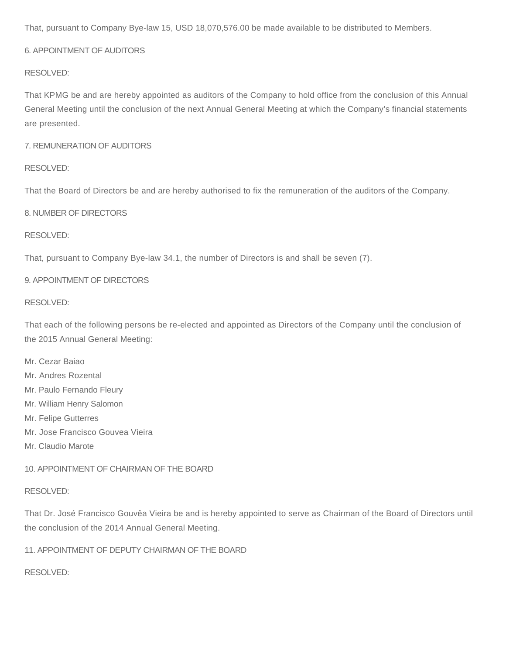That, pursuant to Company Bye-law 15, USD 18,070,576.00 be made available to be distributed to Members.

# 6. APPOINTMENT OF AUDITORS

## RESOLVED:

That KPMG be and are hereby appointed as auditors of the Company to hold office from the conclusion of this Annual General Meeting until the conclusion of the next Annual General Meeting at which the Company's financial statements are presented.

## 7. REMUNERATION OF AUDITORS

## RESOLVED:

That the Board of Directors be and are hereby authorised to fix the remuneration of the auditors of the Company.

## 8. NUMBER OF DIRECTORS

## RESOLVED:

That, pursuant to Company Bye-law 34.1, the number of Directors is and shall be seven (7).

## 9. APPOINTMENT OF DIRECTORS

## RESOLVED:

That each of the following persons be re-elected and appointed as Directors of the Company until the conclusion of the 2015 Annual General Meeting:

- Mr. Cezar Baiao
- Mr. Andres Rozental
- Mr. Paulo Fernando Fleury
- Mr. William Henry Salomon
- Mr. Felipe Gutterres
- Mr. Jose Francisco Gouvea Vieira
- Mr. Claudio Marote

# 10. APPOINTMENT OF CHAIRMAN OF THE BOARD

## RESOLVED:

That Dr. José Francisco Gouvêa Vieira be and is hereby appointed to serve as Chairman of the Board of Directors until the conclusion of the 2014 Annual General Meeting.

# 11. APPOINTMENT OF DEPUTY CHAIRMAN OF THE BOARD

# RESOLVED: